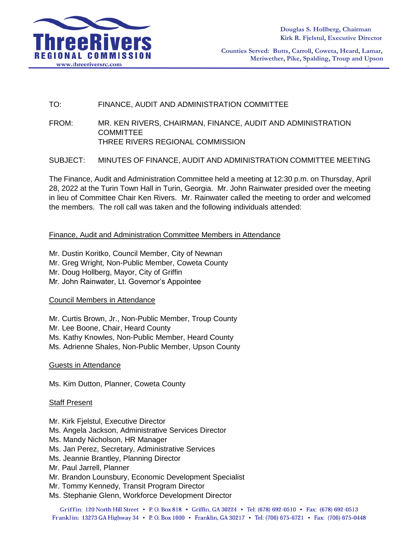

**Counties Served: Butts, Carroll, Coweta, Heard, Lamar, Meriwether, Pike, Spalding, Troup and Upson**

# TO: FINANCE, AUDIT AND ADMINISTRATION COMMITTEE

FROM: MR. KEN RIVERS, CHAIRMAN, FINANCE, AUDIT AND ADMINISTRATION **COMMITTEE** THREE RIVERS REGIONAL COMMISSION

SUBJECT: MINUTES OF FINANCE, AUDIT AND ADMINISTRATION COMMITTEE MEETING

The Finance, Audit and Administration Committee held a meeting at 12:30 p.m. on Thursday, April 28, 2022 at the Turin Town Hall in Turin, Georgia. Mr. John Rainwater presided over the meeting in lieu of Committee Chair Ken Rivers. Mr. Rainwater called the meeting to order and welcomed the members. The roll call was taken and the following individuals attended:

## Finance, Audit and Administration Committee Members in Attendance

Mr. Dustin Koritko, Council Member, City of Newnan Mr. Greg Wright, Non-Public Member, Coweta County Mr. Doug Hollberg, Mayor, City of Griffin Mr. John Rainwater, Lt. Governor's Appointee

Council Members in Attendance

Mr. Curtis Brown, Jr., Non-Public Member, Troup County Mr. Lee Boone, Chair, Heard County Ms. Kathy Knowles, Non-Public Member, Heard County Ms. Adrienne Shales, Non-Public Member, Upson County

Guests in Attendance

Ms. Kim Dutton, Planner, Coweta County

### Staff Present

Mr. Kirk Fjelstul, Executive Director Ms. Angela Jackson, Administrative Services Director Ms. Mandy Nicholson, HR Manager Ms. Jan Perez, Secretary, Administrative Services Ms. Jeannie Brantley, Planning Director Mr. Paul Jarrell, Planner Mr. Brandon Lounsbury, Economic Development Specialist Mr. Tommy Kennedy, Transit Program Director Ms. Stephanie Glenn, Workforce Development Director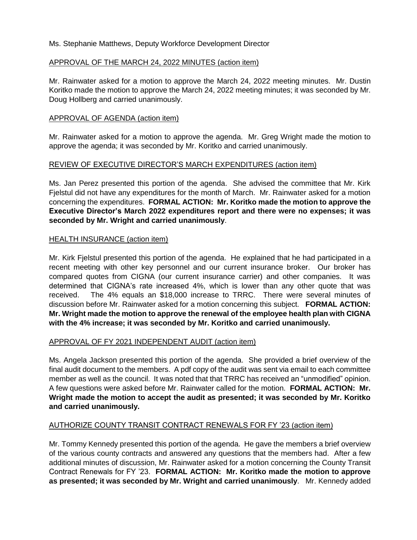# Ms. Stephanie Matthews, Deputy Workforce Development Director

## APPROVAL OF THE MARCH 24, 2022 MINUTES (action item)

Mr. Rainwater asked for a motion to approve the March 24, 2022 meeting minutes. Mr. Dustin Koritko made the motion to approve the March 24, 2022 meeting minutes; it was seconded by Mr. Doug Hollberg and carried unanimously.

## APPROVAL OF AGENDA (action item)

Mr. Rainwater asked for a motion to approve the agenda. Mr. Greg Wright made the motion to approve the agenda; it was seconded by Mr. Koritko and carried unanimously.

## REVIEW OF EXECUTIVE DIRECTOR'S MARCH EXPENDITURES (action item)

Ms. Jan Perez presented this portion of the agenda. She advised the committee that Mr. Kirk Fielstul did not have any expenditures for the month of March. Mr. Rainwater asked for a motion concerning the expenditures. **FORMAL ACTION: Mr. Koritko made the motion to approve the Executive Director's March 2022 expenditures report and there were no expenses; it was seconded by Mr. Wright and carried unanimously**.

## HEALTH INSURANCE (action item)

Mr. Kirk Fjelstul presented this portion of the agenda. He explained that he had participated in a recent meeting with other key personnel and our current insurance broker. Our broker has compared quotes from CIGNA (our current insurance carrier) and other companies. It was determined that CIGNA's rate increased 4%, which is lower than any other quote that was received. The 4% equals an \$18,000 increase to TRRC. There were several minutes of discussion before Mr. Rainwater asked for a motion concerning this subject. **FORMAL ACTION: Mr. Wright made the motion to approve the renewal of the employee health plan with CIGNA with the 4% increase; it was seconded by Mr. Koritko and carried unanimously.**

### APPROVAL OF FY 2021 INDEPENDENT AUDIT (action item)

Ms. Angela Jackson presented this portion of the agenda. She provided a brief overview of the final audit document to the members. A pdf copy of the audit was sent via email to each committee member as well as the council. It was noted that that TRRC has received an "unmodified" opinion. A few questions were asked before Mr. Rainwater called for the motion. **FORMAL ACTION: Mr. Wright made the motion to accept the audit as presented; it was seconded by Mr. Koritko and carried unanimously.**

# AUTHORIZE COUNTY TRANSIT CONTRACT RENEWALS FOR FY '23 (action item)

Mr. Tommy Kennedy presented this portion of the agenda. He gave the members a brief overview of the various county contracts and answered any questions that the members had. After a few additional minutes of discussion, Mr. Rainwater asked for a motion concerning the County Transit Contract Renewals for FY '23. **FORMAL ACTION: Mr. Koritko made the motion to approve as presented; it was seconded by Mr. Wright and carried unanimously**. Mr. Kennedy added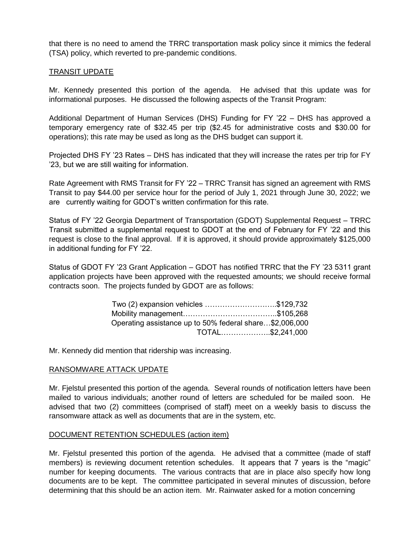that there is no need to amend the TRRC transportation mask policy since it mimics the federal (TSA) policy, which reverted to pre-pandemic conditions.

## TRANSIT UPDATE

Mr. Kennedy presented this portion of the agenda. He advised that this update was for informational purposes. He discussed the following aspects of the Transit Program:

Additional Department of Human Services (DHS) Funding for FY '22 – DHS has approved a temporary emergency rate of \$32.45 per trip (\$2.45 for administrative costs and \$30.00 for operations); this rate may be used as long as the DHS budget can support it.

Projected DHS FY '23 Rates – DHS has indicated that they will increase the rates per trip for FY '23, but we are still waiting for information.

Rate Agreement with RMS Transit for FY '22 – TRRC Transit has signed an agreement with RMS Transit to pay \$44.00 per service hour for the period of July 1, 2021 through June 30, 2022; we are currently waiting for GDOT's written confirmation for this rate.

Status of FY '22 Georgia Department of Transportation (GDOT) Supplemental Request – TRRC Transit submitted a supplemental request to GDOT at the end of February for FY '22 and this request is close to the final approval. If it is approved, it should provide approximately \$125,000 in additional funding for FY '22.

Status of GDOT FY '23 Grant Application – GDOT has notified TRRC that the FY '23 5311 grant application projects have been approved with the requested amounts; we should receive formal contracts soon. The projects funded by GDOT are as follows:

| Two (2) expansion vehicles \$129,732                    |  |
|---------------------------------------------------------|--|
|                                                         |  |
| Operating assistance up to 50% federal share\$2,006,000 |  |
| TOTAL\$2,241,000                                        |  |

Mr. Kennedy did mention that ridership was increasing.

### RANSOMWARE ATTACK UPDATE

Mr. Fjelstul presented this portion of the agenda. Several rounds of notification letters have been mailed to various individuals; another round of letters are scheduled for be mailed soon. He advised that two (2) committees (comprised of staff) meet on a weekly basis to discuss the ransomware attack as well as documents that are in the system, etc.

### DOCUMENT RETENTION SCHEDULES (action item)

Mr. Fjelstul presented this portion of the agenda. He advised that a committee (made of staff members) is reviewing document retention schedules. It appears that 7 years is the "magic" number for keeping documents. The various contracts that are in place also specify how long documents are to be kept. The committee participated in several minutes of discussion, before determining that this should be an action item. Mr. Rainwater asked for a motion concerning